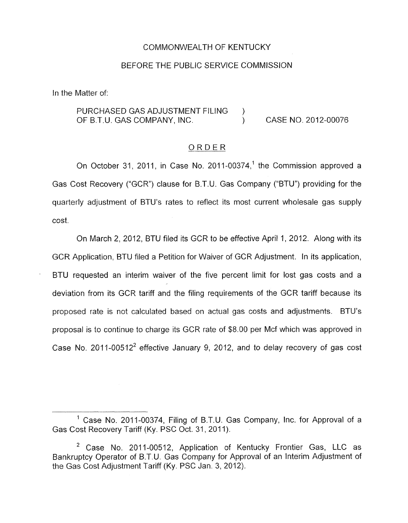## COMMONWEALTH OF KENTUCKY

## BEFORE THE PUBLIC SERVICE COMMISSION

In the Matter of:

PURCHASED GAS ADJUSTMENT FILING ) OF B.T.U. GAS COMPANY, INC. (a) CASE NO. 2012-00076

## ORDER

On October 31, 2011, in Case No. 2011-00374,<sup>1</sup> the Commission approved a Gas Cost Recovery ("GCR") clause for B.T.U. Gas Company ("BTU") providing for the quarterly adjustment of BTU's rates to reflect its most current wholesale gas supply cost.

On March 2, 2012, BTU filed its GCR to be effective April 1, 2012. Along with its GCR Application, BTU filed a Petition for Waiver of GCR Adjustment. In its application, BTU requested an interim waiver of the five percent limit for lost gas costs and a deviation from its GCR tariff and the filing requirements of the GCR tariff because its proposed rate is not calculated based on actual gas costs and adjustments. BTU's proposal is to continue to charge its GCR rate of \$8.00 per Mcf which was approved in Case No. 2011-00512<sup>2</sup> effective January 9, 2012, and to delay recovery of gas cost

<sup>&</sup>lt;sup>1</sup> Case No. 2011-00374, Filing of B.T.U. Gas Company, Inc. for Approval of a Gas Cost Recovery Tariff (Ky. PSC Oct. 31, 2011).

 $2$  Case No. 2011-00512, Application of Kentucky Frontier Gas, LLC as Bankruptcy Operator *of* B.T.U. Gas Company for Approval of an Interim Adjustment of the Gas Cost Adjustment Tariff (Ky. PSC Jan. 3, 2012).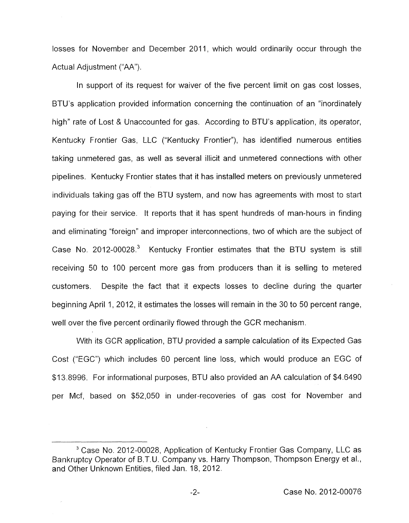losses for November and December 2011, which would ordinarily occur through the Actual Adjustment ("AA").

In support of its request for waiver of the five percent limit on gas cost losses, BTU's application provided information concerning the continuation of an "inordinately high" rate of Lost *R* Unaccounted for gas. According to BTU's application, its operator, Kentucky Frontier Gas, LLC ("Kentucky Frontier"), has identified numerous entities taking unmetered gas, as well as several illicit and unmetered connections with other pipelines. Kentucky Frontier states that it has installed meters on previously unmetered individuals taking gas off the BTU system, and now has agreements with most to start paying for their service. It reports that it has spent hundreds of man-hours in finding and eliminating "foreign" and improper interconnections, two of which are the subject of Case No. 2012-00028.<sup>3</sup> Kentucky Frontier estimates that the BTU system is still receiving 50 to 100 percent more gas from producers than it is selling to metered customers. Despite the fact that it expects losses to decline during the quarter beginning April 1, 2012, it estimates the losses will remain in the 30 to 50 percent range, well over the five percent ordinarily flowed through the GCR mechanism.

With its GCR application, BTU provided a sample calculation of its Expected Gas Cost ("EGC") which includes 60 percent line loss, which would produce an EGC of \$1 3.8996. For informational purposes, BTU also provided an AA calculation of \$4.6490 per Mcf, based on \$52,050 in under-recoveries of gas cost for November and

 $-2-$ 

Case No. 2012-00028, Application of Kentucky Frontier Gas Company, LLC as Bankruptcy Operator of B.T.U. Company vs. Harry Thompson, Thompson Energy et al., and Other Unknown Entities, filed Jan. 18, 2012.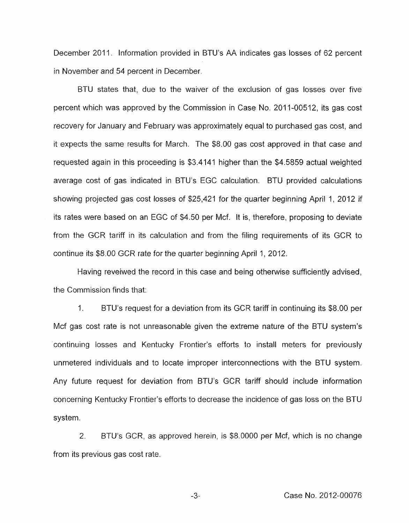December 2011. Information provided in BTU's AA indicates gas losses of 62 percent in November and 54 percent in December.

BTU states that, due to the waiver of the exclusion of gas losses over five percent which was approved by the Commission in Case No. 2011-00512, its gas cost recovery for January and February was approximately equal to purchased gas cost, and it expects the same results for March. The \$8.00 gas cost approved in that case and requested again in this proceeding is \$3.4141 higher than the \$4.5859 actual weighted average cost of gas indicated in BTU's EGC calculation. BTU provided calculations showing projected gas cost losses of \$25,421 for the quarter beginning April 1, 2012 if its rates were based on an EGC of \$4.50 per Mcf. It is, therefore, proposing to deviate from the GCR tariff in its calculation and from the filing requirements of its GCR to continue its \$8.00 GCR rate for the quarter beginning April 1, 2012.

Having reveiwed the record in this case and being otherwise sufficiently advised, the Commission finds that:

1. BTU's request for a deviation from its GCR tariff in continuing its \$8.00 per Mcf gas cost rate is not unreasonable given the extreme nature of the BTU system's continuing losses and Kentucky Frontier's efforts to install meters for previously unmetered individuals and to locate improper interconnections with the BTU system. Any future request for deviation from BTU's GCR tariff should include information concerning Kentucky Frontier's efforts to decrease the incidence of gas loss on the BTU system.

2. BTU's GCR, as approved herein, is \$8.0000 per Mcf, which is no change from its previous gas cost rate.

-3.. Case No. 2012-00076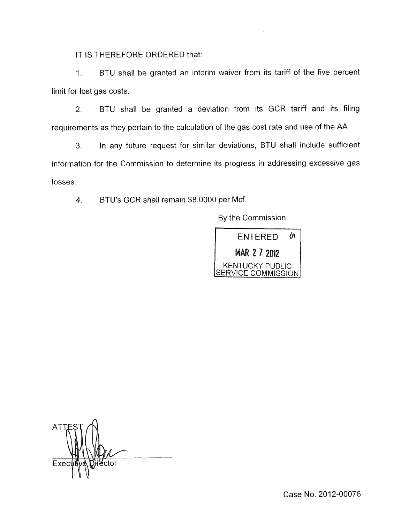IT IS THEREFORE ORDERED that:

1. BTU shall be granted an interim waiver from its tariff of the five percent limit for lost gas costs.

2. BTU shall be granted a deviation from its GCR tariff and its filing requirements as they pertain to the calculation of the gas cost rate and use of the AA.

**3.** In any future request for similar deviations, BTU shall include sufficient information for the Commission to determine its progress in addressing excessive gas losses.

**4.** BTU's GCR shall remain \$8.0000 per Mcf.

By the Commission



AT Exec fĕctor  $\mathbb{E} \mathbb{E} \mathbb{E}$